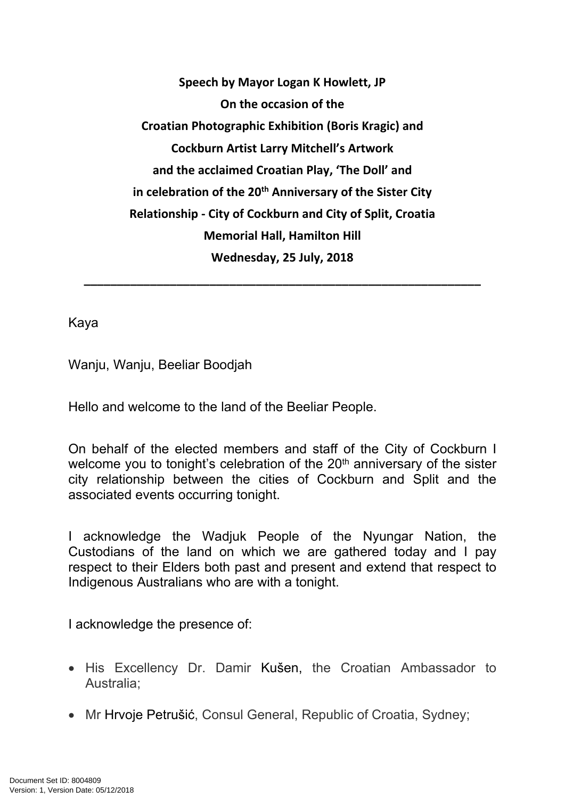**Speech by Mayor Logan K Howlett, JP On the occasion of the Croatian Photographic Exhibition (Boris Kragic) and Cockburn Artist Larry Mitchell's Artwork and the acclaimed Croatian Play, 'The Doll' and in celebration of the 20th Anniversary of the Sister City Relationship - City of Cockburn and City of Split, Croatia Memorial Hall, Hamilton Hill Wednesday, 25 July, 2018**

**\_\_\_\_\_\_\_\_\_\_\_\_\_\_\_\_\_\_\_\_\_\_\_\_\_\_\_\_\_\_\_\_\_\_\_\_\_\_\_\_\_\_\_\_\_\_\_\_\_\_\_\_\_\_\_\_\_\_\_\_**

Kaya

Wanju, Wanju, Beeliar Boodjah

Hello and welcome to the land of the Beeliar People.

On behalf of the elected members and staff of the City of Cockburn I welcome you to tonight's celebration of the 20<sup>th</sup> anniversary of the sister city relationship between the cities of Cockburn and Split and the associated events occurring tonight.

I acknowledge the Wadjuk People of the Nyungar Nation, the Custodians of the land on which we are gathered today and I pay respect to their Elders both past and present and extend that respect to Indigenous Australians who are with a tonight.

I acknowledge the presence of:

- His Excellency Dr. Damir Kušen, the Croatian Ambassador to Australia;
- Mr Hrvoje Petrušić, Consul General, Republic of Croatia, Sydney;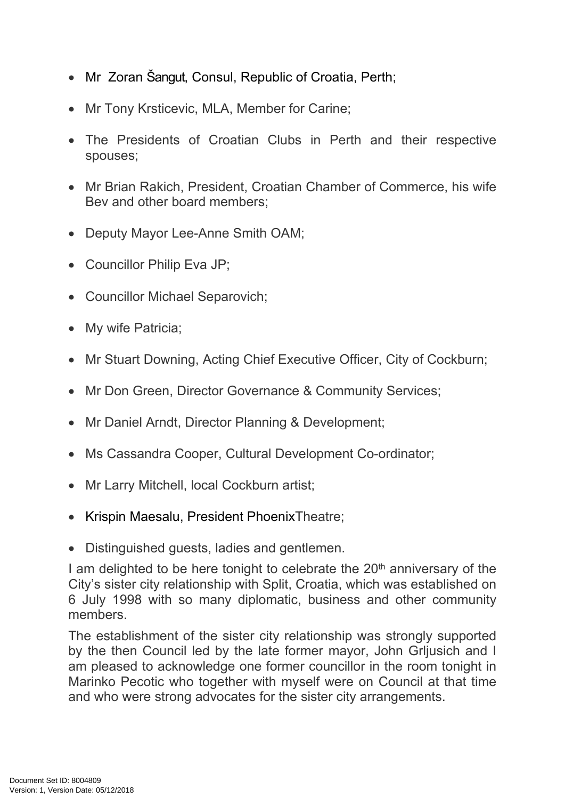- Mr Zoran Šangut, Consul, Republic of Croatia, Perth;
- Mr Tony Krsticevic, MLA, Member for Carine;
- The Presidents of Croatian Clubs in Perth and their respective spouses;
- Mr Brian Rakich, President, Croatian Chamber of Commerce, his wife Bev and other board members;
- Deputy Mayor Lee-Anne Smith OAM;
- Councillor Philip Eva JP;
- Councillor Michael Separovich;
- My wife Patricia;
- Mr Stuart Downing, Acting Chief Executive Officer, City of Cockburn;
- Mr Don Green, Director Governance & Community Services;
- Mr Daniel Arndt, Director Planning & Development;
- Ms Cassandra Cooper, Cultural Development Co-ordinator;
- Mr Larry Mitchell, local Cockburn artist;
- Krispin Maesalu, President PhoenixTheatre;
- Distinguished guests, ladies and gentlemen.

I am delighted to be here tonight to celebrate the  $20<sup>th</sup>$  anniversary of the City's sister city relationship with Split, Croatia, which was established on 6 July 1998 with so many diplomatic, business and other community members.

The establishment of the sister city relationship was strongly supported by the then Council led by the late former mayor, John Grljusich and I am pleased to acknowledge one former councillor in the room tonight in Marinko Pecotic who together with myself were on Council at that time and who were strong advocates for the sister city arrangements.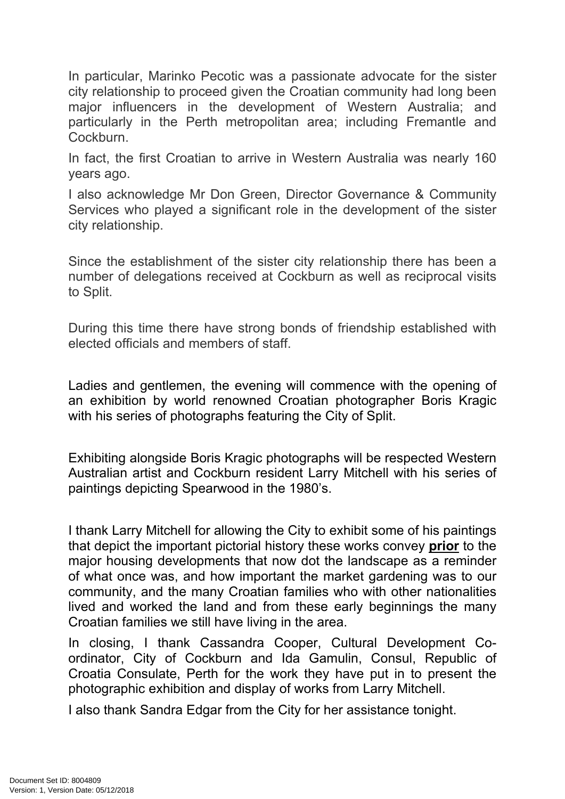In particular, Marinko Pecotic was a passionate advocate for the sister city relationship to proceed given the Croatian community had long been major influencers in the development of Western Australia; and particularly in the Perth metropolitan area; including Fremantle and **Cockburn** 

In fact, the first Croatian to arrive in Western Australia was nearly 160 years ago.

I also acknowledge Mr Don Green, Director Governance & Community Services who played a significant role in the development of the sister city relationship.

Since the establishment of the sister city relationship there has been a number of delegations received at Cockburn as well as reciprocal visits to Split.

During this time there have strong bonds of friendship established with elected officials and members of staff.

Ladies and gentlemen, the evening will commence with the opening of an exhibition by world renowned Croatian photographer Boris Kragic with his series of photographs featuring the City of Split.

Exhibiting alongside Boris Kragic photographs will be respected Western Australian artist and Cockburn resident Larry Mitchell with his series of paintings depicting Spearwood in the 1980's.

I thank Larry Mitchell for allowing the City to exhibit some of his paintings that depict the important pictorial history these works convey **prior** to the major housing developments that now dot the landscape as a reminder of what once was, and how important the market gardening was to our community, and the many Croatian families who with other nationalities lived and worked the land and from these early beginnings the many Croatian families we still have living in the area.

In closing, I thank Cassandra Cooper, Cultural Development Coordinator, City of Cockburn and Ida Gamulin, Consul, Republic of Croatia Consulate, Perth for the work they have put in to present the photographic exhibition and display of works from Larry Mitchell.

I also thank Sandra Edgar from the City for her assistance tonight.